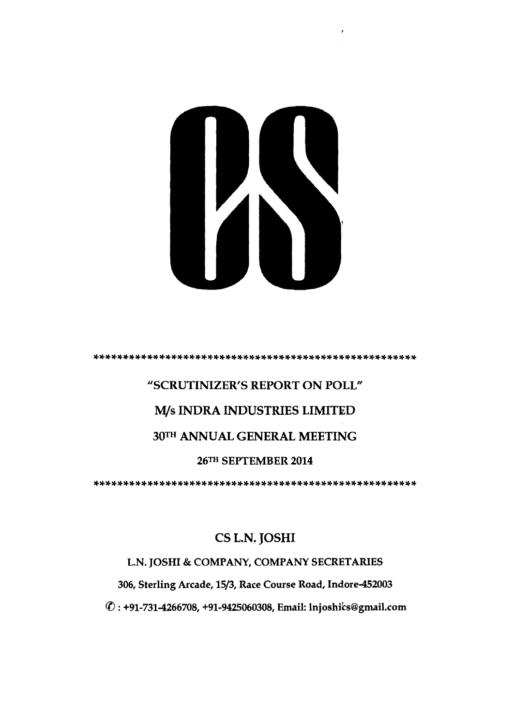

**"SCRUTINIZER'S REPORT ON POLL"**  *M/s* **INDRA INDUSTRIES LIMITED**   $30<sup>TH</sup>$  ANNUAL GENERAL MEETING **26TH SEPTEMBER 2014 .......................................................** 

# **CS L.N. JOSHI**

### **L.N. JOSHI** & **COMPANY, COMPANY SECRETARIES**

**306, Sterling Arcade, 1513, Race Course Road, Indore-452003** 

8 : **+91-731-4266708, +91-9425060308, Email: lnjoshib@gmail.com**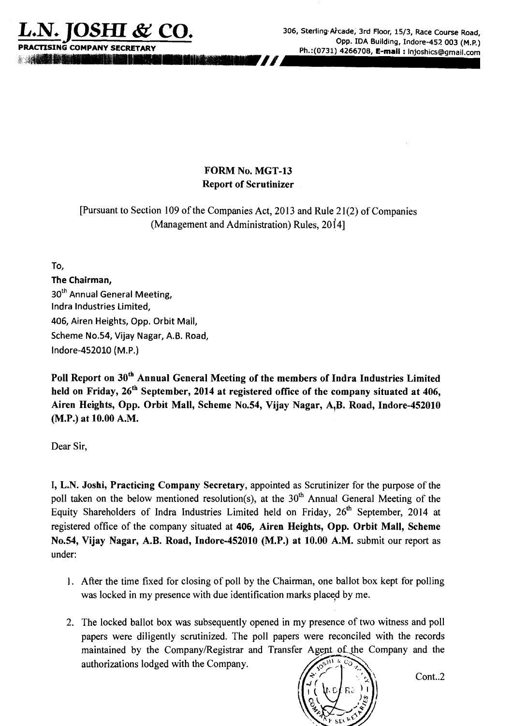

**m** 

**L.N+ JOSHI** & **CO. 306, Sterling.Atcade, 3rd Floor, 1513, Race Course Road, Opp. IDA Building, Indore-452 003 (M.P.) PRACTISING COMPANY SECRETARY Ph.:(0731) 4266708, E-mail** : **InjoshicsQgmail.com** 

## FORM NO. MGT-13 Report of Scrutinizer

[Pursuant to Section 109 of the Companies Act, 2013 and Rule 21(2) of Companies (Management and Administration) Rules, 20141

**To,** 

## **The Chairman,**

**3oth Annual General Meeting, lndra Industries Limited, 406, Airen Heights, Opp. Orbit Mall, Scheme No.54, Vijay Nagar, A.B. Road, lndore-452010 (M.P.)** 

Poll Report on 30<sup>th</sup> Annual General Meeting of the members of Indra Industries Limited held on Friday, 26<sup>th</sup> September, 2014 at registered office of the company situated at 406, Airen Heights, Opp. Orbit Mall, Scheme No.54, Vijay Nagar, A,B. Road, Indore-452010 (M.P.) at 10.00 A.M.

Dear Sir,

I, L.N. Joshi, Practicing Company Secretary, appointed as Scrutinizer for the purpose of the poll taken on the below mentioned resolution(s), at the  $30<sup>th</sup>$  Annual General Meeting of the Equity Shareholders of Indra Industries Limited held on Friday,  $26<sup>th</sup>$  September, 2014 at registered office of the company situated at 406, Airen Heights, Opp. Orbit Mall, Scheme No.54, Vijay Nagar, A.B. Road, Indore-452010 (M.P.) at 10.00 A.M. submit our report as under:

- 1. After the time fixed for closing of poll by the Chairman, one ballot box kept for polling was locked in my presence with due identification marks placed by me.
- 2. The locked ballot box was subsequently opened in my presence of two witness and poll papers were diligently scrutinized. The poll papers were reconciled with the records maintained by the Company/Registrar and Transfer Agent of the Company and the authorizations lodged with the Company.



Cont..2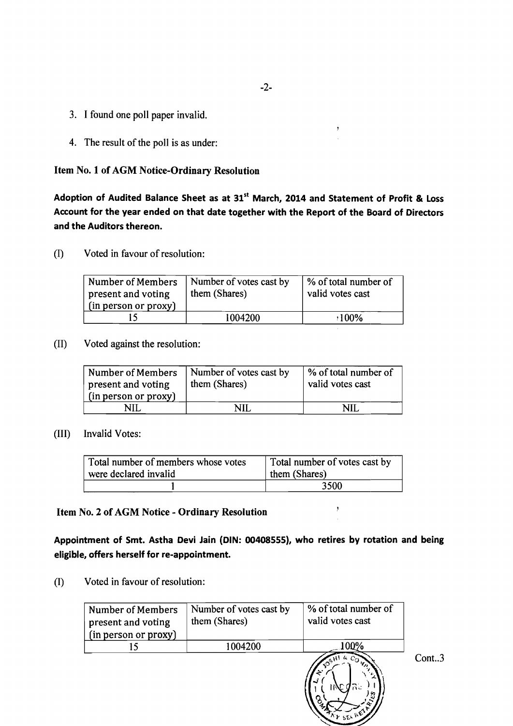- 3. I found one poll paper invalid.
- 4. The result of the poll is as under:

#### **Item No. 1 of AGM Notice-Ordinary Resolution**

Adoption of Audited Balance Sheet as at 31'' March, 2014 and Statement of Profit & Loss Account for the year ended on that date together with the Report of the Board of Directors and the Auditors thereon.

(I) Voted in favour of resolution:

| Voted in favour of resolution:                                  |                                          |                                          |
|-----------------------------------------------------------------|------------------------------------------|------------------------------------------|
| Number of Members<br>present and voting<br>(in person or proxy) | Number of votes cast by<br>them (Shares) | % of total number of<br>valid votes cast |
|                                                                 | 004200                                   | 100%                                     |

(11) Voted against the resolution:

| Number of Members<br>present and voting<br>(in person or proxy) | Number of votes cast by<br>them (Shares) | \% of total number of<br>valid votes cast |
|-----------------------------------------------------------------|------------------------------------------|-------------------------------------------|
|                                                                 | NH                                       | NII                                       |

#### (111) Invalid Votes:

| Total number of members whose votes | Total number of votes cast by |
|-------------------------------------|-------------------------------|
| were declared invalid               | them (Shares)                 |
|                                     | 3500                          |

## **Item No. 2 of AGM Notice** - **Ordinary Resolution** '

Appointment of Smt. Astha Devi lain (DIN: 00408555), who retires by rotation and being eligible, offers herself for re-appointment.

(I) Voted in favour of resolution:

| <b>Number of Members</b><br>present and voting<br>(in person or proxy) | Number of votes cast by<br>them (Shares) | % of total number of<br>valid votes cast                                   |
|------------------------------------------------------------------------|------------------------------------------|----------------------------------------------------------------------------|
|                                                                        | 1004200                                  | 00%                                                                        |
|                                                                        |                                          | $c_{\mathbf{Q}_{\mathbf{Z},\mathbf{X}}}$<br>$\sim$ $S^H$<br><b>P</b> SELFE |

 $Cont., 3$ 

ý.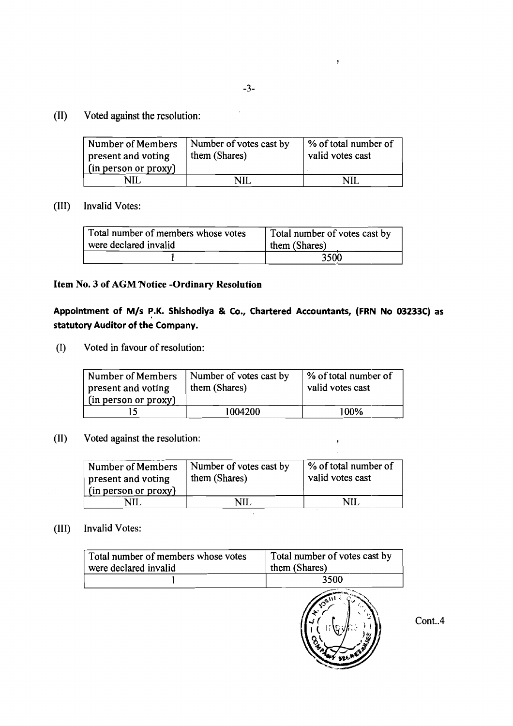y

## **(11)** Voted against the resolution:

| Voted against the resolution:                  |                                          |                                          |
|------------------------------------------------|------------------------------------------|------------------------------------------|
| <b>Number of Members</b><br>present and voting | Number of votes cast by<br>them (Shares) | % of total number of<br>valid votes cast |
| (in person or proxy)                           |                                          |                                          |
| NII.                                           | NH.                                      | NII                                      |

#### (111) Invalid Votes:

| Invalid Votes:                                               |                                                |
|--------------------------------------------------------------|------------------------------------------------|
| Total number of members whose votes<br>were declared invalid | Total number of votes cast by<br>them (Shares) |
|                                                              | つくい                                            |

#### **Item No. 3 of AGM'Notice -Ordinary Resolution**

## Appointment of M/s P.K. Shishodiya & Co., Chartered Accountants, (FRN No 03233C) as **statutory Auditor of the Company.**

(I) Voted in favour of resolution:

| Number of Members<br>present and voting<br>(in person or proxy) | Number of votes cast by<br>them (Shares) | \% of total number of<br>valid votes cast |
|-----------------------------------------------------------------|------------------------------------------|-------------------------------------------|
|                                                                 | 1004200                                  | 100%                                      |

# (II) Voted against the resolution:  $\,$ ,

| Voted against the resolution:                                          |                                          |                                          |
|------------------------------------------------------------------------|------------------------------------------|------------------------------------------|
| <b>Number of Members</b><br>present and voting<br>(in person or proxy) | Number of votes cast by<br>them (Shares) | % of total number of<br>valid votes cast |
| NH.                                                                    | NH.                                      | NII                                      |

 $\ddot{\phantom{a}}$ 

## (111) Invalid Votes:

| Total number of members whose votes | Total number of votes cast by |
|-------------------------------------|-------------------------------|
| were declared invalid               | them (Shares)                 |
|                                     | 3500                          |



Cont..4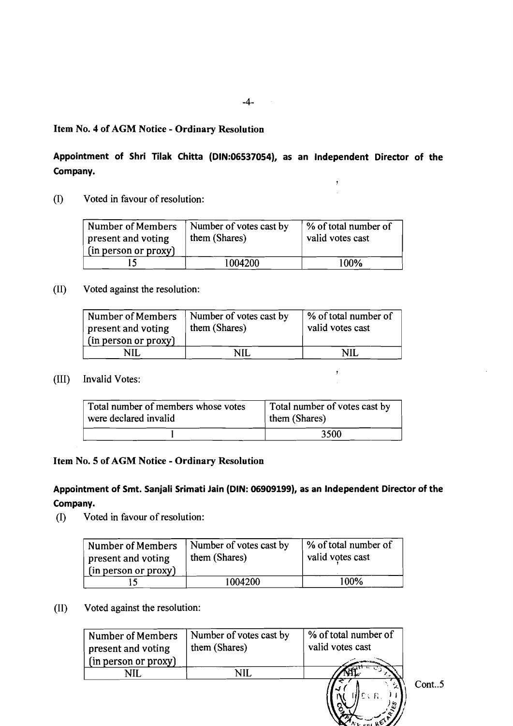$\sim 10$ 

#### **Item No. 4 of AGM Notice** - **Ordinary Resolution**

## **Appointment of Shri Tilak Chitta (DlN:06537054), as an lndependent Director of the Company.**

r

 $\ddot{\phantom{a}}$ 

(I) Voted in favour of resolution:

| Number of Members<br>present and voting<br>(in person or proxy) | Number of votes cast by<br>them (Shares) | % of total number of<br>valid votes cast |
|-----------------------------------------------------------------|------------------------------------------|------------------------------------------|
|                                                                 | 1004200                                  | 100%                                     |

(11) Voted against the resolution:

| Number of Members<br>present and voting<br>(in person or proxy) | Number of votes cast by<br>them (Shares) | % of total number of<br>valid votes cast |
|-----------------------------------------------------------------|------------------------------------------|------------------------------------------|
| NII.                                                            | NII                                      | NIL.                                     |

(111) Invalid Votes:

| <b>Invalid Votes:</b>                                        |                                                |
|--------------------------------------------------------------|------------------------------------------------|
| Total number of members whose votes<br>were declared invalid | Total number of votes cast by<br>them (Shares) |
|                                                              | 3500                                           |

#### **Item No. 5 of AGM Notice** - **Ordinary Resolution**

## **Appointment of Smt. Sanjali Srimati Jain (DIN: 06909199), as an lndependent Director of the Company.**

(I) Voted in favour of resolution:

| Number of Members<br>present and voting<br>(in person or proxy) | Number of votes cast by<br>them (Shares) | % of total number of<br>valid votes cast |
|-----------------------------------------------------------------|------------------------------------------|------------------------------------------|
|                                                                 | 1004200                                  | 100%                                     |

#### (11) Voted against the resolution:

| <b>Number of Members</b><br>present and voting<br>(in person or proxy) | Number of votes cast by<br>them (Shares) | % of total number of<br>valid votes cast<br><b>Contract Contract</b> |
|------------------------------------------------------------------------|------------------------------------------|----------------------------------------------------------------------|
|                                                                        | VН                                       |                                                                      |
|                                                                        |                                          |                                                                      |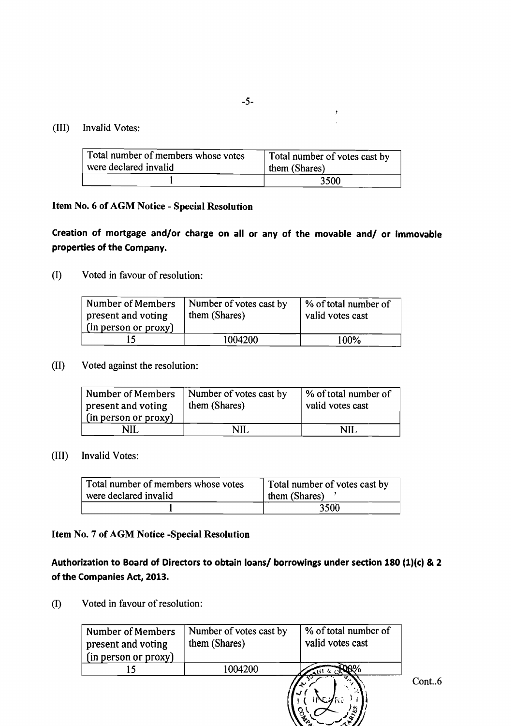#### (111) Invalid Votes:

| Total number of members whose votes | Total number of votes cast by |  |
|-------------------------------------|-------------------------------|--|
| were declared invalid               | them (Shares)                 |  |
|                                     | 3500                          |  |

#### **Item No. 6 of AGM Notice** - **Special Resolution**

**Creation of mortgage and/or charge on all or any of the movable and/ or immovable properties of the Company.** 

(I) Voted in favour of resolution:

| Number of Members<br>present and voting<br>(in person or proxy) | Number of votes cast by<br>them (Shares) | % of total number of<br>valid votes cast |
|-----------------------------------------------------------------|------------------------------------------|------------------------------------------|
|                                                                 | 1004200                                  | 100%                                     |

#### (11) Voted against the resolution:

| Number of Members<br>present and voting<br>(in person or proxy) | Number of votes cast by<br>them (Shares) | % of total number of<br>valid votes cast |
|-----------------------------------------------------------------|------------------------------------------|------------------------------------------|
|                                                                 |                                          |                                          |

#### (111) Invalid Votes:

| Invalid Votes:                                               |                                                |
|--------------------------------------------------------------|------------------------------------------------|
| Total number of members whose votes<br>were declared invalid | Total number of votes cast by<br>them (Shares) |
|                                                              | 3500                                           |

#### **Item No. 7 of AGM Notice -Special Resolution**

Authorization to Board of Directors to obtain loans/ borrowings under section 180 (1)(c) & 2 **of the Companies Act, 2013.** 

(I) Voted in favour of resolution:

| Voted in favour of resolution:<br>Number of Members<br>present and voting<br>(in person or proxy) | Number of votes cast by<br>them (Shares) | % of total number of<br>valid votes cast |       |
|---------------------------------------------------------------------------------------------------|------------------------------------------|------------------------------------------|-------|
| 15                                                                                                | 1004200                                  | $\mathbf{H}^{1,4}$                       |       |
|                                                                                                   |                                          | ್ಕ್                                      | Cont6 |

 $\lambda$